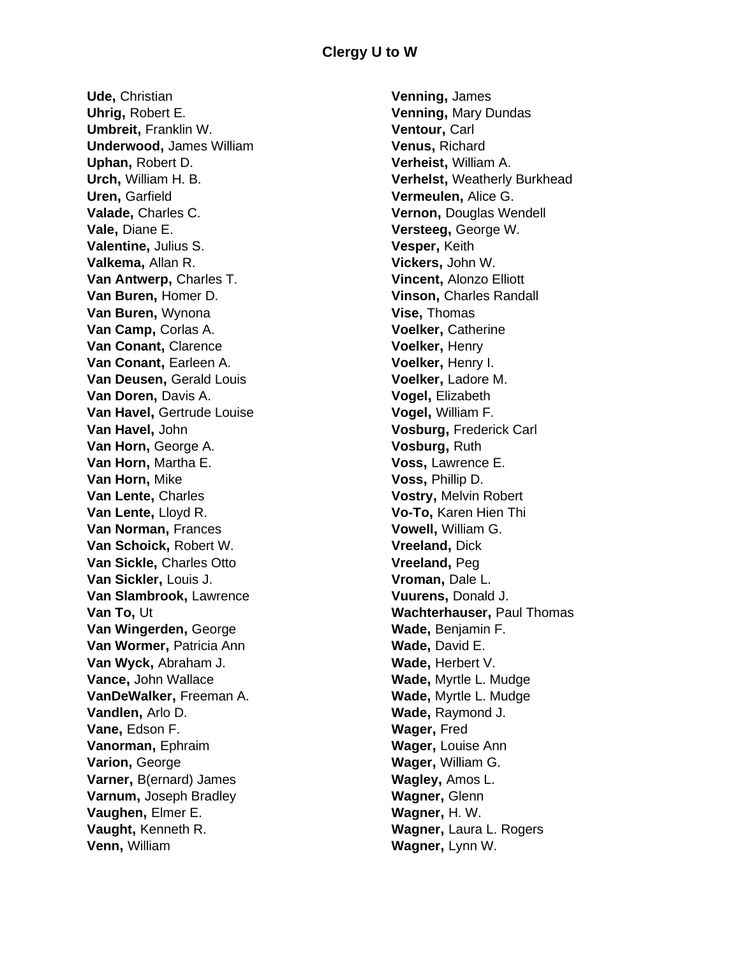**Ude,** Christian **Uhrig,** Robert E. **Umbreit,** Franklin W. **Underwood,** James William **Uphan,** Robert D. **Urch,** William H. B. **Uren,** Garfield **Valade,** Charles C. **Vale,** Diane E. **Valentine,** Julius S. **Valkema,** Allan R. **Van Antwerp,** Charles T. **Van Buren,** Homer D. **Van Buren,** Wynona **Van Camp,** Corlas A. **Van Conant,** Clarence **Van Conant,** Earleen A. **Van Deusen,** Gerald Louis **Van Doren,** Davis A. **Van Havel,** Gertrude Louise **Van Havel,** John **Van Horn,** George A. **Van Horn,** Martha E. **Van Horn,** Mike **Van Lente,** Charles **Van Lente,** Lloyd R. **Van Norman,** Frances **Van Schoick,** Robert W. **Van Sickle,** Charles Otto **Van Sickler,** Louis J. **Van Slambrook,** Lawrence **Van To,** Ut **Van Wingerden,** George **Van Wormer, Patricia Ann Van Wyck,** Abraham J. **Vance,** John Wallace **VanDeWalker,** Freeman A. **Vandlen,** Arlo D. **Vane,** Edson F. **Vanorman,** Ephraim **Varion,** George **Varner,** B(ernard) James **Varnum,** Joseph Bradley **Vaughen,** Elmer E. **Vaught,** Kenneth R. **Venn,** William

**Venning,** James **Venning,** Mary Dundas **Ventour,** Carl **Venus,** Richard **Verheist,** William A. **Verhelst,** Weatherly Burkhead **Vermeulen,** Alice G. **Vernon,** Douglas Wendell **Versteeg,** George W. **Vesper,** Keith **Vickers,** John W. **Vincent,** Alonzo Elliott **Vinson,** Charles Randall **Vise,** Thomas **Voelker,** Catherine **Voelker,** Henry **Voelker,** Henry I. **Voelker,** Ladore M. **Vogel,** Elizabeth **Vogel,** William F. **Vosburg,** Frederick Carl **Vosburg,** Ruth **Voss,** Lawrence E. **Voss,** Phillip D. **Vostry,** Melvin Robert **Vo-To,** Karen Hien Thi **Vowell,** William G. **Vreeland,** Dick **Vreeland,** Peg **Vroman,** Dale L. **Vuurens,** Donald J. **Wachterhauser,** Paul Thomas **Wade,** Benjamin F. **Wade,** David E. **Wade,** Herbert V. **Wade,** Myrtle L. Mudge **Wade,** Myrtle L. Mudge **Wade,** Raymond J. **Wager,** Fred **Wager,** Louise Ann **Wager,** William G. **Wagley,** Amos L. **Wagner,** Glenn **Wagner,** H. W. **Wagner,** Laura L. Rogers **Wagner,** Lynn W.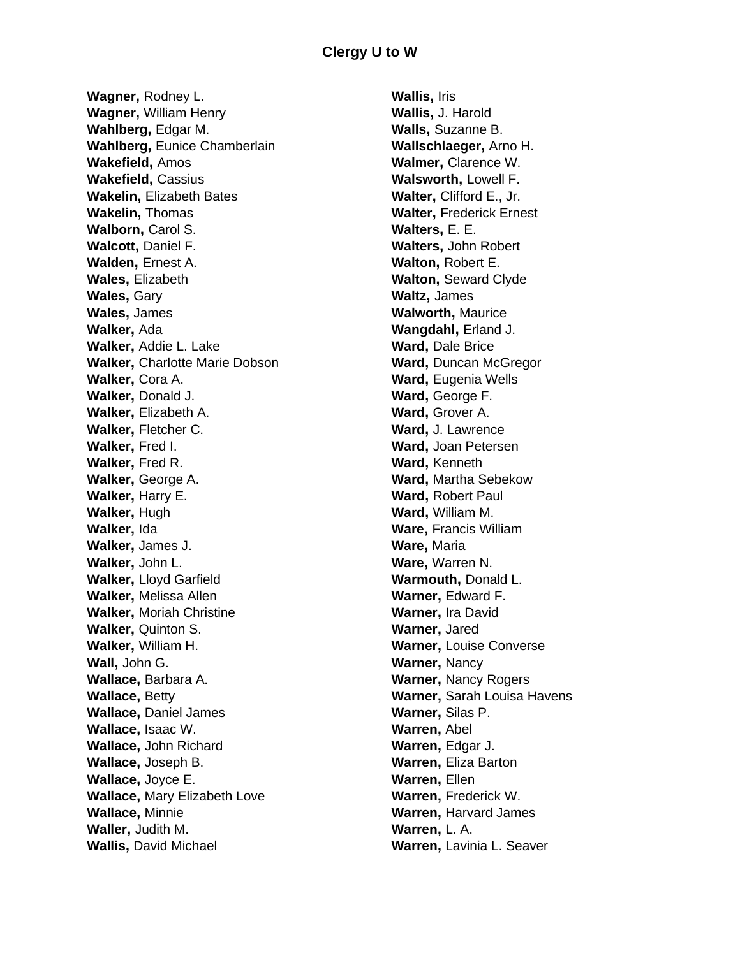**Wagner,** Rodney L. **Wagner,** William Henry **Wahlberg,** Edgar M. **Wahlberg,** Eunice Chamberlain **Wakefield,** Amos **Wakefield,** Cassius **Wakelin,** Elizabeth Bates **Wakelin,** Thomas **Walborn,** Carol S. **Walcott,** Daniel F. **Walden,** Ernest A. **Wales,** Elizabeth **Wales,** Gary **Wales,** James **Walker,** Ada **Walker,** Addie L. Lake **Walker,** Charlotte Marie Dobson **Walker,** Cora A. **Walker,** Donald J. **Walker,** Elizabeth A. **Walker,** Fletcher C. **Walker,** Fred I. **Walker,** Fred R. **Walker,** George A. **Walker,** Harry E. **Walker,** Hugh **Walker,** Ida **Walker,** James J. **Walker,** John L. **Walker,** Lloyd Garfield **Walker,** Melissa Allen **Walker,** Moriah Christine **Walker,** Quinton S. **Walker,** William H. **Wall,** John G. **Wallace,** Barbara A. **Wallace,** Betty **Wallace,** Daniel James **Wallace,** Isaac W. **Wallace,** John Richard **Wallace,** Joseph B. **Wallace,** Joyce E. **Wallace,** Mary Elizabeth Love **Wallace,** Minnie **Waller,** Judith M. **Wallis,** David Michael

**Wallis,** Iris **Wallis,** J. Harold **Walls,** Suzanne B. **Wallschlaeger,** Arno H. **Walmer,** Clarence W. **Walsworth,** Lowell F. **Walter,** Clifford E., Jr. **Walter,** Frederick Ernest **Walters,** E. E. **Walters,** John Robert **Walton,** Robert E. **Walton,** Seward Clyde **Waltz,** James **Walworth,** Maurice **Wangdahl,** Erland J. **Ward,** Dale Brice **Ward,** Duncan McGregor **Ward**, Eugenia Wells **Ward,** George F. **Ward,** Grover A. **Ward,** J. Lawrence **Ward,** Joan Petersen **Ward,** Kenneth **Ward,** Martha Sebekow **Ward,** Robert Paul **Ward,** William M. **Ware,** Francis William **Ware,** Maria **Ware,** Warren N. **Warmouth,** Donald L. **Warner,** Edward F. **Warner,** Ira David **Warner,** Jared **Warner,** Louise Converse **Warner,** Nancy **Warner,** Nancy Rogers **Warner,** Sarah Louisa Havens **Warner,** Silas P. **Warren,** Abel **Warren,** Edgar J. **Warren,** Eliza Barton **Warren,** Ellen **Warren,** Frederick W. **Warren,** Harvard James **Warren,** L. A. **Warren,** Lavinia L. Seaver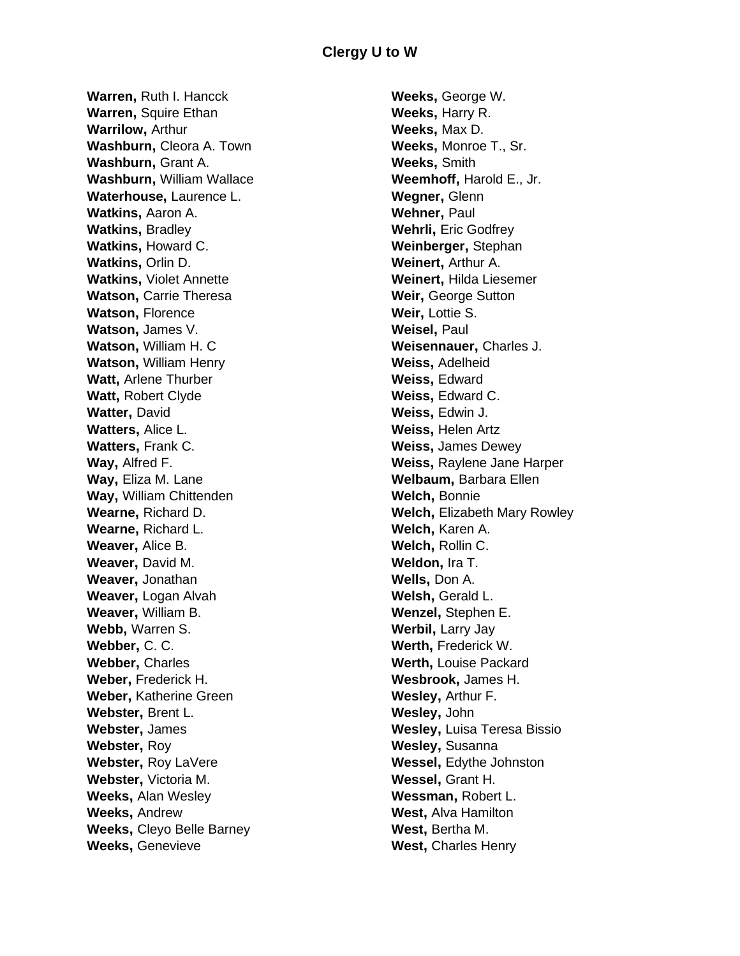**Warren,** Ruth I. Hancck **Warren,** Squire Ethan **Warrilow,** Arthur **Washburn,** Cleora A. Town **Washburn,** Grant A. **Washburn,** William Wallace **Waterhouse,** Laurence L. **Watkins,** Aaron A. **Watkins,** Bradley **Watkins,** Howard C. **Watkins,** Orlin D. **Watkins,** Violet Annette **Watson,** Carrie Theresa **Watson,** Florence **Watson,** James V. **Watson,** William H. C **Watson,** William Henry **Watt,** Arlene Thurber **Watt,** Robert Clyde **Watter,** David **Watters,** Alice L. **Watters,** Frank C. **Way,** Alfred F. **Way,** Eliza M. Lane **Way,** William Chittenden **Wearne,** Richard D. **Wearne,** Richard L. **Weaver,** Alice B. **Weaver,** David M. **Weaver,** Jonathan **Weaver,** Logan Alvah **Weaver,** William B. **Webb,** Warren S. **Webber,** C. C. **Webber,** Charles **Weber,** Frederick H. **Weber,** Katherine Green **Webster,** Brent L. **Webster,** James **Webster,** Roy **Webster,** Roy LaVere **Webster,** Victoria M. **Weeks,** Alan Wesley **Weeks,** Andrew **Weeks,** Cleyo Belle Barney **Weeks,** Genevieve

**Weeks,** George W. **Weeks,** Harry R. **Weeks,** Max D. **Weeks,** Monroe T., Sr. **Weeks,** Smith **Weemhoff,** Harold E., Jr. **Wegner,** Glenn **Wehner,** Paul **Wehrli,** Eric Godfrey **Weinberger,** Stephan **Weinert,** Arthur A. **Weinert,** Hilda Liesemer **Weir,** George Sutton **Weir,** Lottie S. **Weisel,** Paul **Weisennauer,** Charles J. **Weiss,** Adelheid **Weiss,** Edward **Weiss,** Edward C. **Weiss,** Edwin J. **Weiss,** Helen Artz **Weiss,** James Dewey **Weiss,** Raylene Jane Harper **Welbaum,** Barbara Ellen **Welch,** Bonnie **Welch,** Elizabeth Mary Rowley **Welch,** Karen A. **Welch,** Rollin C. **Weldon,** Ira T. **Wells,** Don A. **Welsh,** Gerald L. **Wenzel,** Stephen E. **Werbil,** Larry Jay **Werth,** Frederick W. **Werth,** Louise Packard **Wesbrook,** James H. **Wesley,** Arthur F. **Wesley,** John **Wesley,** Luisa Teresa Bissio **Wesley,** Susanna **Wessel,** Edythe Johnston **Wessel,** Grant H. **Wessman,** Robert L. **West,** Alva Hamilton **West,** Bertha M. **West,** Charles Henry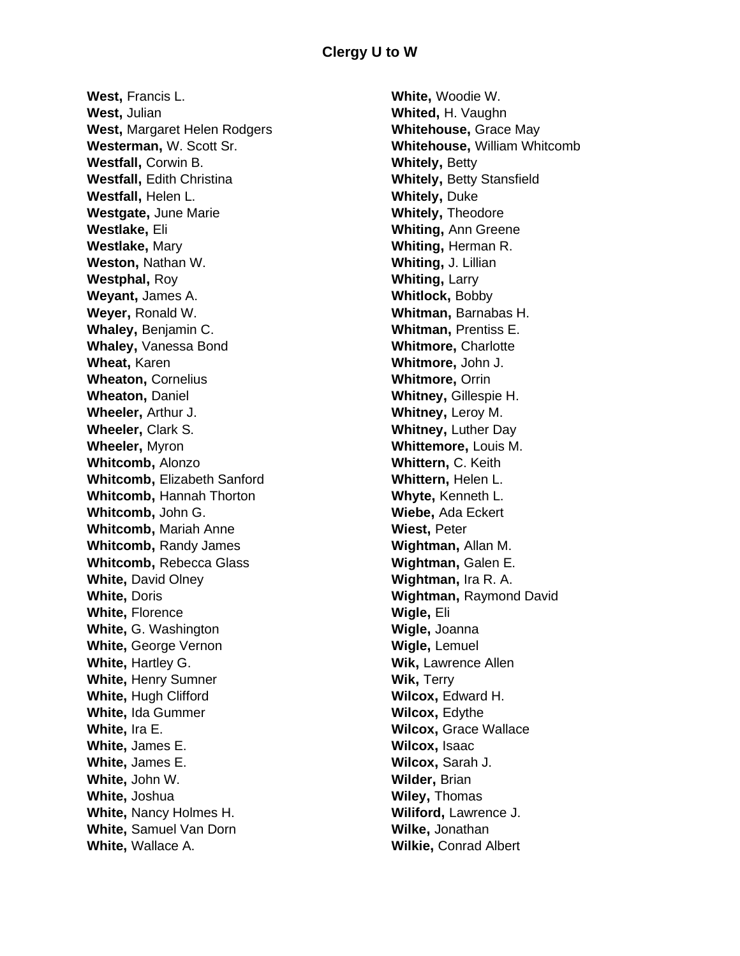**West,** Francis L. **West,** Julian **West,** Margaret Helen Rodgers **Westerman,** W. Scott Sr. **Westfall,** Corwin B. **Westfall,** Edith Christina **Westfall,** Helen L. **Westgate,** June Marie **Westlake,** Eli **Westlake,** Mary **Weston,** Nathan W. **Westphal,** Roy **Weyant,** James A. **Weyer,** Ronald W. **Whaley,** Benjamin C. **Whaley,** Vanessa Bond **Wheat,** Karen **Wheaton,** Cornelius **Wheaton,** Daniel **Wheeler,** Arthur J. **Wheeler,** Clark S. **Wheeler,** Myron **Whitcomb,** Alonzo **Whitcomb,** Elizabeth Sanford **Whitcomb,** Hannah Thorton **Whitcomb,** John G. **Whitcomb,** Mariah Anne **Whitcomb, Randy James Whitcomb,** Rebecca Glass **White, David Olney White,** Doris **White,** Florence **White,** G. Washington **White,** George Vernon **White,** Hartley G. **White,** Henry Sumner **White,** Hugh Clifford **White,** Ida Gummer **White,** Ira E. **White,** James E. **White,** James E. **White,** John W. **White,** Joshua **White,** Nancy Holmes H. **White,** Samuel Van Dorn **White,** Wallace A.

**White,** Woodie W. **Whited,** H. Vaughn **Whitehouse,** Grace May **Whitehouse,** William Whitcomb **Whitely,** Betty **Whitely,** Betty Stansfield **Whitely,** Duke **Whitely,** Theodore **Whiting,** Ann Greene **Whiting,** Herman R. **Whiting,** J. Lillian **Whiting,** Larry **Whitlock,** Bobby **Whitman,** Barnabas H. **Whitman,** Prentiss E. **Whitmore,** Charlotte **Whitmore,** John J. **Whitmore,** Orrin **Whitney,** Gillespie H. **Whitney,** Leroy M. **Whitney,** Luther Day **Whittemore,** Louis M. **Whittern,** C. Keith **Whittern,** Helen L. **Whyte,** Kenneth L. **Wiebe,** Ada Eckert **Wiest,** Peter **Wightman,** Allan M. **Wightman,** Galen E. **Wightman,** Ira R. A. **Wightman,** Raymond David **Wigle,** Eli **Wigle,** Joanna **Wigle,** Lemuel **Wik,** Lawrence Allen **Wik,** Terry **Wilcox,** Edward H. **Wilcox,** Edythe **Wilcox,** Grace Wallace **Wilcox,** Isaac **Wilcox,** Sarah J. **Wilder,** Brian **Wiley,** Thomas **Wiliford,** Lawrence J. **Wilke,** Jonathan **Wilkie,** Conrad Albert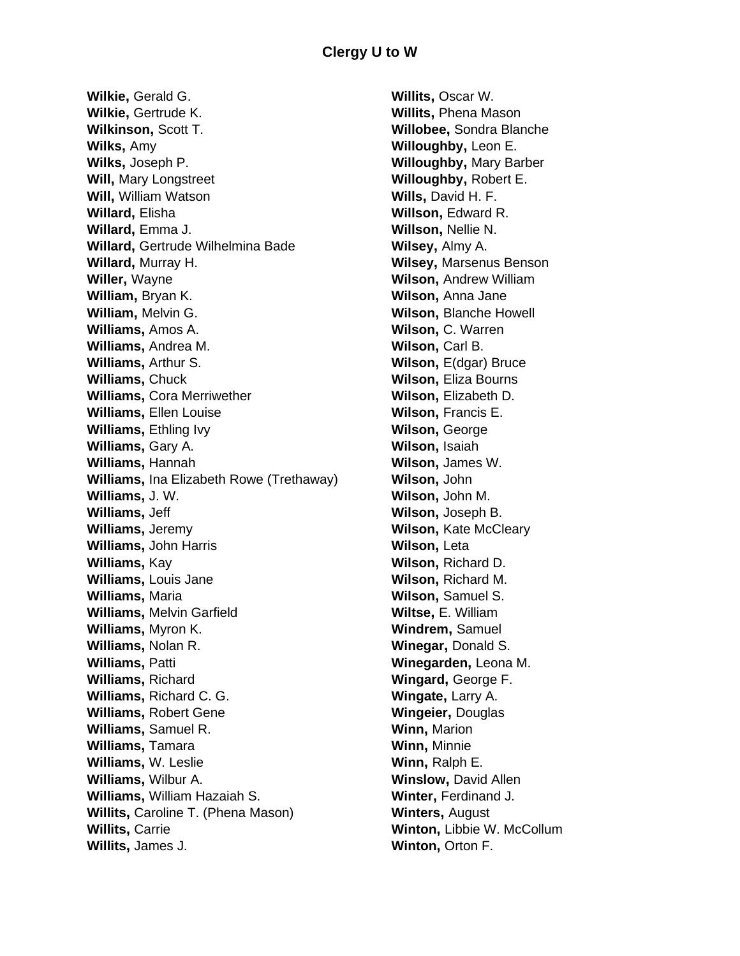**Wilkie,** Gerald G. **Wilkie,** Gertrude K. **Wilkinson,** Scott T. **Wilks,** Amy **Wilks,** Joseph P. **Will,** Mary Longstreet **Will,** William Watson **Willard,** Elisha **Willard,** Emma J. **Willard,** Gertrude Wilhelmina Bade **Willard,** Murray H. **Willer,** Wayne **William,** Bryan K. **William,** Melvin G. **Williams,** Amos A. **Williams,** Andrea M. **Williams,** Arthur S. **Williams,** Chuck **Williams,** Cora Merriwether **Williams,** Ellen Louise **Williams**, Ethling Ivy **Williams,** Gary A. **Williams,** Hannah **Williams,** Ina Elizabeth Rowe (Trethaway) **Williams,** J. W. **Williams,** Jeff **Williams,** Jeremy **Williams,** John Harris **Williams,** Kay **Williams,** Louis Jane **Williams,** Maria **Williams,** Melvin Garfield **Williams,** Myron K. **Williams,** Nolan R. **Williams,** Patti **Williams,** Richard **Williams,** Richard C. G. **Williams,** Robert Gene **Williams,** Samuel R. **Williams,** Tamara **Williams,** W. Leslie **Williams,** Wilbur A. **Williams,** William Hazaiah S. **Willits,** Caroline T. (Phena Mason) **Willits,** Carrie **Willits,** James J.

**Willits,** Oscar W. **Willits,** Phena Mason **Willobee,** Sondra Blanche **Willoughby,** Leon E. **Willoughby,** Mary Barber **Willoughby,** Robert E. **Wills,** David H. F. **Willson,** Edward R. **Willson,** Nellie N. **Wilsey,** Almy A. **Wilsey,** Marsenus Benson **Wilson,** Andrew William **Wilson,** Anna Jane **Wilson,** Blanche Howell **Wilson,** C. Warren **Wilson,** Carl B. **Wilson,** E(dgar) Bruce **Wilson,** Eliza Bourns **Wilson,** Elizabeth D. **Wilson,** Francis E. **Wilson,** George **Wilson,** Isaiah **Wilson,** James W. **Wilson,** John **Wilson,** John M. **Wilson,** Joseph B. **Wilson,** Kate McCleary **Wilson,** Leta **Wilson,** Richard D. **Wilson,** Richard M. **Wilson,** Samuel S. **Wiltse,** E. William **Windrem,** Samuel **Winegar,** Donald S. **Winegarden,** Leona M. **Wingard,** George F. **Wingate,** Larry A. **Wingeier,** Douglas **Winn,** Marion **Winn,** Minnie **Winn,** Ralph E. **Winslow,** David Allen **Winter,** Ferdinand J. **Winters,** August **Winton,** Libbie W. McCollum **Winton,** Orton F.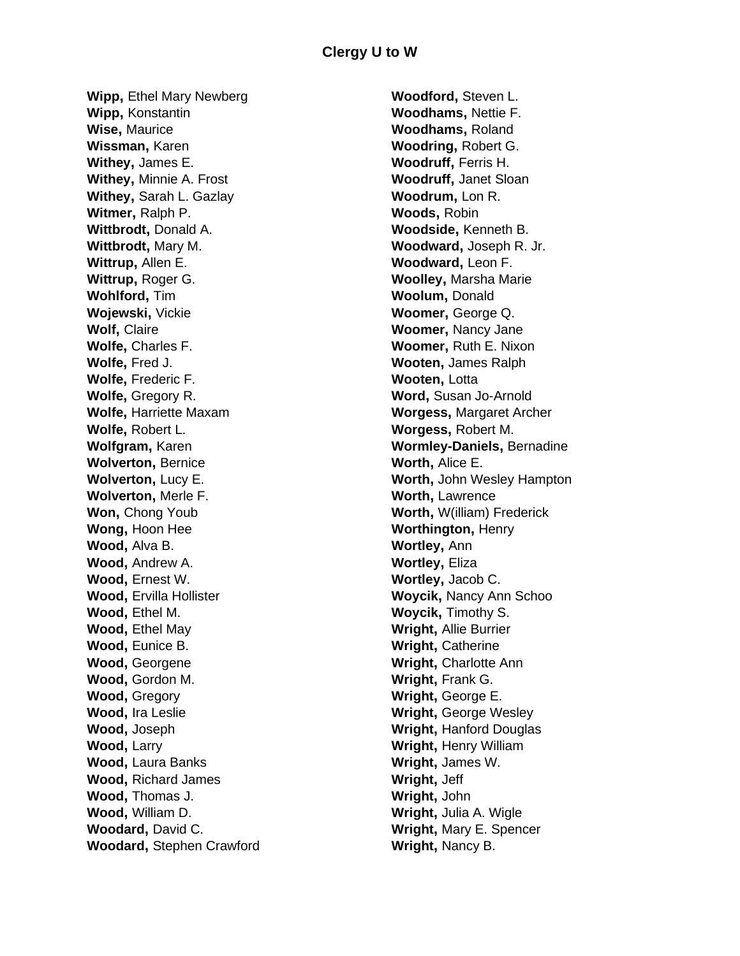**Wipp,** Ethel Mary Newberg **Wipp,** Konstantin **Wise,** Maurice **Wissman,** Karen **Withey,** James E. **Withey,** Minnie A. Frost **Withey,** Sarah L. Gazlay **Witmer,** Ralph P. **Wittbrodt,** Donald A. **Wittbrodt,** Mary M. **Wittrup,** Allen E. **Wittrup,** Roger G. **Wohlford,** Tim **Wojewski,** Vickie **Wolf,** Claire **Wolfe,** Charles F. **Wolfe,** Fred J. **Wolfe,** Frederic F. **Wolfe,** Gregory R. **Wolfe,** Harriette Maxam **Wolfe,** Robert L. **Wolfgram,** Karen **Wolverton,** Bernice **Wolverton,** Lucy E. **Wolverton,** Merle F. **Won,** Chong Youb **Wong,** Hoon Hee **Wood,** Alva B. **Wood,** Andrew A. **Wood,** Ernest W. **Wood,** Ervilla Hollister **Wood,** Ethel M. **Wood,** Ethel May **Wood,** Eunice B. **Wood,** Georgene **Wood,** Gordon M. **Wood,** Gregory **Wood,** Ira Leslie **Wood,** Joseph **Wood,** Larry **Wood,** Laura Banks **Wood,** Richard James **Wood,** Thomas J. **Wood,** William D. **Woodard,** David C. **Woodard,** Stephen Crawford

**Woodford,** Steven L. **Woodhams,** Nettie F. **Woodhams,** Roland **Woodring,** Robert G. **Woodruff,** Ferris H. **Woodruff,** Janet Sloan **Woodrum,** Lon R. **Woods,** Robin **Woodside,** Kenneth B. **Woodward,** Joseph R. Jr. **Woodward,** Leon F. **Woolley,** Marsha Marie **Woolum,** Donald **Woomer,** George Q. **Woomer,** Nancy Jane **Woomer,** Ruth E. Nixon **Wooten,** James Ralph **Wooten,** Lotta **Word,** Susan Jo-Arnold **Worgess,** Margaret Archer **Worgess,** Robert M. **Wormley-Daniels,** Bernadine **Worth,** Alice E. **Worth,** John Wesley Hampton **Worth,** Lawrence **Worth,** W(illiam) Frederick **Worthington,** Henry **Wortley,** Ann **Wortley,** Eliza **Wortley,** Jacob C. **Woycik,** Nancy Ann Schoo **Woycik,** Timothy S. **Wright,** Allie Burrier **Wright,** Catherine **Wright,** Charlotte Ann **Wright,** Frank G. **Wright,** George E. **Wright,** George Wesley **Wright,** Hanford Douglas **Wright,** Henry William **Wright,** James W. **Wright,** Jeff **Wright,** John **Wright,** Julia A. Wigle **Wright,** Mary E. Spencer **Wright,** Nancy B.